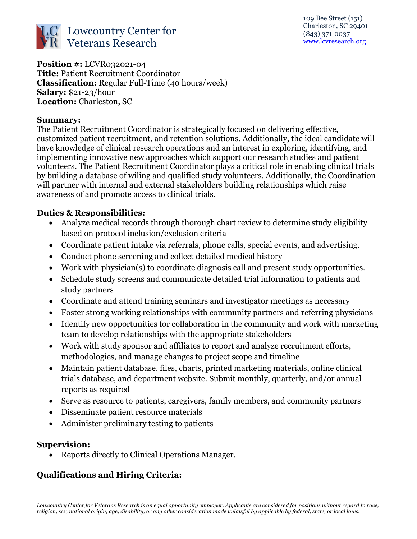

**Position #:** LCVR032021-04 **Title:** Patient Recruitment Coordinator **Classification:** Regular Full-Time (40 hours/week) **Salary:** \$21-23/hour **Location:** Charleston, SC

#### **Summary:**

The Patient Recruitment Coordinator is strategically focused on delivering effective, customized patient recruitment, and retention solutions. Additionally, the ideal candidate will have knowledge of clinical research operations and an interest in exploring, identifying, and implementing innovative new approaches which support our research studies and patient volunteers. The Patient Recruitment Coordinator plays a critical role in enabling clinical trials by building a database of wiling and qualified study volunteers. Additionally, the Coordination will partner with internal and external stakeholders building relationships which raise awareness of and promote access to clinical trials.

### **Duties & Responsibilities:**

- Analyze medical records through thorough chart review to determine study eligibility based on protocol inclusion/exclusion criteria
- Coordinate patient intake via referrals, phone calls, special events, and advertising.
- Conduct phone screening and collect detailed medical history
- Work with physician(s) to coordinate diagnosis call and present study opportunities.
- Schedule study screens and communicate detailed trial information to patients and study partners
- Coordinate and attend training seminars and investigator meetings as necessary
- Foster strong working relationships with community partners and referring physicians
- Identify new opportunities for collaboration in the community and work with marketing team to develop relationships with the appropriate stakeholders
- Work with study sponsor and affiliates to report and analyze recruitment efforts, methodologies, and manage changes to project scope and timeline
- Maintain patient database, files, charts, printed marketing materials, online clinical trials database, and department website. Submit monthly, quarterly, and/or annual reports as required
- Serve as resource to patients, caregivers, family members, and community partners
- Disseminate patient resource materials
- Administer preliminary testing to patients

### **Supervision:**

Reports directly to Clinical Operations Manager.

## **Qualifications and Hiring Criteria:**